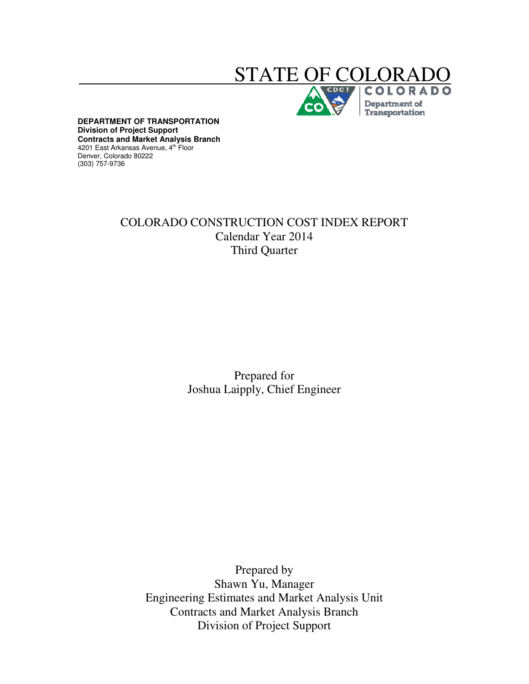# STATE OF COLO

Department of Transportation

**DEPARTMENT OF TRANSPORTATION Division of Project Support Contracts and Market Analysis Branch**  4201 East Arkansas Avenue, 4<sup>th</sup> Floor Denver, Colorado 80222 (303) 757-9736

# COLORADO CONSTRUCTION COST INDEX REPORT Calendar Year 2014 Third Quarter

Prepared for Joshua Laipply, Chief Engineer

Prepared by Shawn Yu, Manager Engineering Estimates and Market Analysis Unit Contracts and Market Analysis Branch Division of Project Support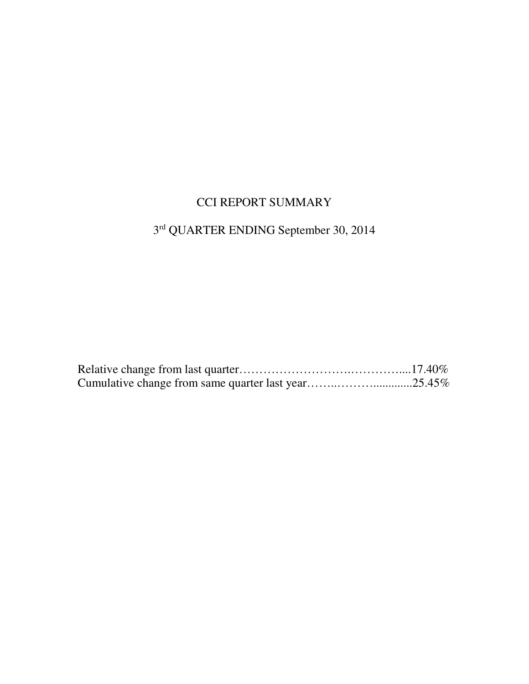# CCI REPORT SUMMARY

## 3 rd QUARTER ENDING September 30, 2014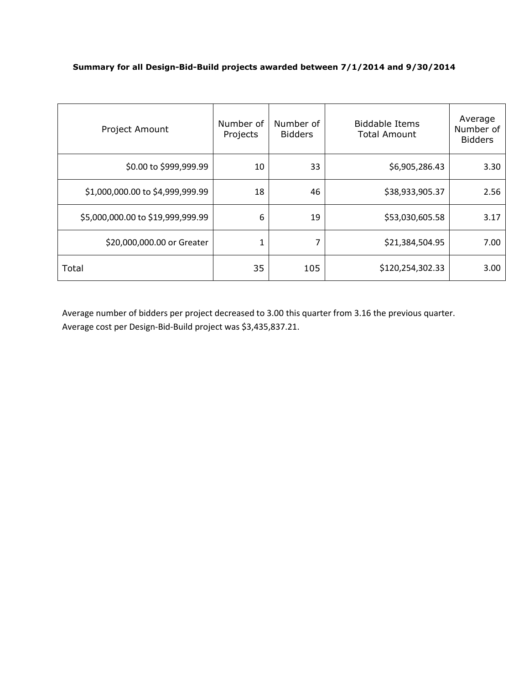#### **Summary for all Design-Bid-Build projects awarded between 7/1/2014 and 9/30/2014**

| Project Amount                    | Number of<br>Projects | Number of<br><b>Bidders</b> | <b>Biddable Items</b><br><b>Total Amount</b> | Average<br>Number of<br><b>Bidders</b> |
|-----------------------------------|-----------------------|-----------------------------|----------------------------------------------|----------------------------------------|
| \$0.00 to \$999,999.99            | 10                    | 33                          | \$6,905,286.43                               | 3.30                                   |
| \$1,000,000.00 to \$4,999,999.99  | 18                    | 46                          | \$38,933,905.37                              | 2.56                                   |
| \$5,000,000.00 to \$19,999,999.99 | 6                     | 19                          | \$53,030,605.58                              | 3.17                                   |
| \$20,000,000.00 or Greater        | 1                     | 7                           | \$21,384,504.95                              | 7.00                                   |
| Total                             | 35                    | 105                         | \$120,254,302.33                             | 3.00                                   |

Average number of bidders per project decreased to 3.00 this quarter from 3.16 the previous quarter. Average cost per Design-Bid-Build project was \$3,435,837.21.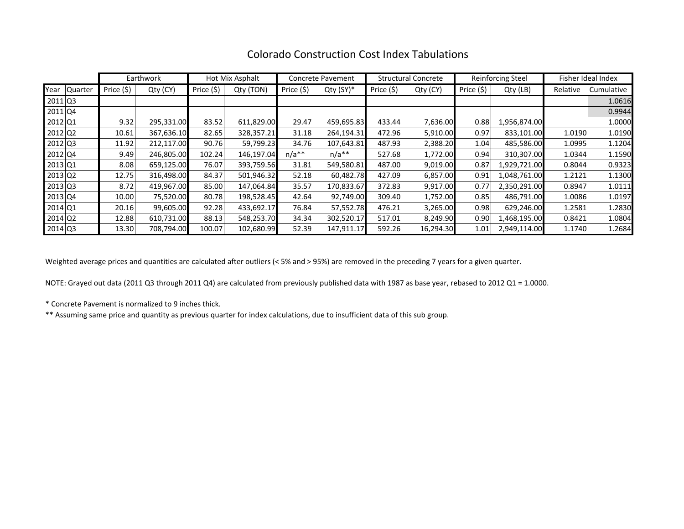|                       |              |            | Earthwork  |            | Hot Mix Asphalt |            | <b>Concrete Pavement</b> | <b>Structural Concrete</b> |           | <b>Reinforcing Steel</b> |              | Fisher Ideal Index |                   |
|-----------------------|--------------|------------|------------|------------|-----------------|------------|--------------------------|----------------------------|-----------|--------------------------|--------------|--------------------|-------------------|
|                       | Year Quarter | Price (\$) | Qty (CY)   | Price (\$) | Qty (TON)       | Price (\$) | $Qty(SY)^*$              | Price (\$)                 | Qty (CY)  | Price (\$)               | Qty (LB)     | Relative           | <b>Cumulative</b> |
| 2011 Q3               |              |            |            |            |                 |            |                          |                            |           |                          |              |                    | 1.0616            |
| 2011 Q4               |              |            |            |            |                 |            |                          |                            |           |                          |              |                    | 0.9944            |
| 2012 Q1               |              | 9.32       | 295,331.00 | 83.52      | 611,829.00      | 29.47      | 459,695.83               | 433.44                     | 7,636.00  | 0.88                     | 1,956,874.00 |                    | 1.0000            |
| $2012$ Q <sub>2</sub> |              | 10.61      | 367,636.10 | 82.65      | 328,357.21      | 31.18      | 264,194.31               | 472.96                     | 5,910.00  | 0.97                     | 833,101.00   | 1.0190             | 1.0190            |
| 2012 Q3               |              | 11.92      | 212,117.00 | 90.76      | 59,799.23       | 34.76      | 107,643.81               | 487.93                     | 2,388.20  | 1.04                     | 485,586.00   | 1.0995             | 1.1204            |
| 2012 Q4               |              | 9.49       | 246,805.00 | 102.24     | 146,197.04      | $n/a**$    | $n/a**$                  | 527.68                     | 1,772.00  | 0.94                     | 310,307.00   | 1.0344             | 1.1590            |
| 2013 Q1               |              | 8.08       | 659,125.00 | 76.07      | 393,759.56      | 31.81      | 549,580.81               | 487.00                     | 9,019.00  | 0.87                     | 1,929,721.00 | 0.8044             | 0.9323            |
| $2013$ Q <sub>2</sub> |              | 12.75      | 316,498.00 | 84.37      | 501,946.32      | 52.18      | 60,482.78                | 427.09                     | 6,857.00  | 0.91                     | 1,048,761.00 | 1.2121             | 1.1300            |
| $2013$ Q3             |              | 8.72       | 419,967.00 | 85.00      | 147,064.84      | 35.57      | 170,833.67               | 372.83                     | 9,917.00  | 0.77                     | 2,350,291.00 | 0.8947             | 1.0111            |
| 2013 Q4               |              | 10.00      | 75,520.00  | 80.78      | 198,528.45      | 42.64      | 92,749.00                | 309.40                     | 1,752.00  | 0.85                     | 486,791.00   | 1.0086             | 1.0197            |
| 2014 Q1               |              | 20.16      | 99,605.00  | 92.28      | 433,692.17      | 76.84      | 57,552.78                | 476.21                     | 3,265.00  | 0.98                     | 629,246.00   | 1.2581             | 1.2830            |
| 2014 Q2               |              | 12.88      | 610,731.00 | 88.13      | 548,253.70      | 34.34      | 302,520.17               | 517.01                     | 8,249.90  | 0.90                     | 1,468,195.00 | 0.8421             | 1.0804            |
| 2014 Q3               |              | 13.30      | 708,794.00 | 100.07     | 102,680.99      | 52.39      | 147,911.17               | 592.26                     | 16,294.30 | 1.01                     | 2,949,114.00 | 1.1740             | 1.2684            |

## Colorado Construction Cost Index Tabulations

Weighted average prices and quantities are calculated after outliers (< 5% and > 95%) are removed in the preceding 7 years for a given quarter.

NOTE: Grayed out data (2011 Q3 through 2011 Q4) are calculated from previously published data with 1987 as base year, rebased to 2012 Q1 = 1.0000.

\* Concrete Pavement is normalized to 9 inches thick.

\*\* Assuming same price and quantity as previous quarter for index calculations, due to insufficient data of this sub group.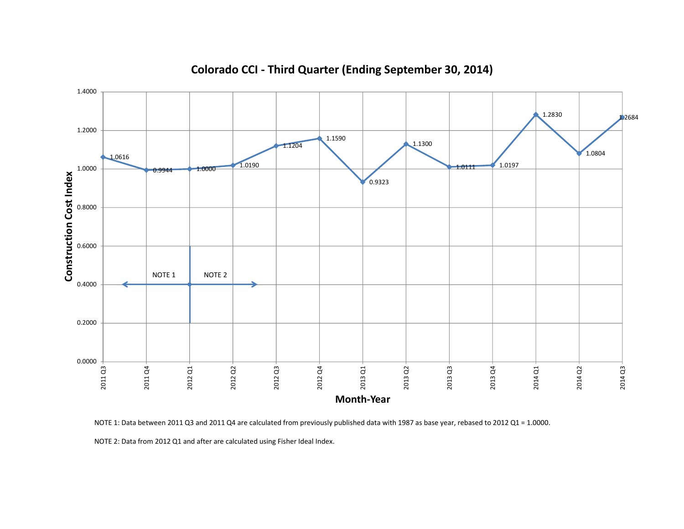

# **Colorado CCI - Third Quarter (Ending September 30, 2014)**

NOTE 1: Data between 2011 Q3 and 2011 Q4 are calculated from previously published data with 1987 as base year, rebased to 2012 Q1 = 1.0000.

NOTE 2: Data from 2012 Q1 and after are calculated using Fisher Ideal Index.